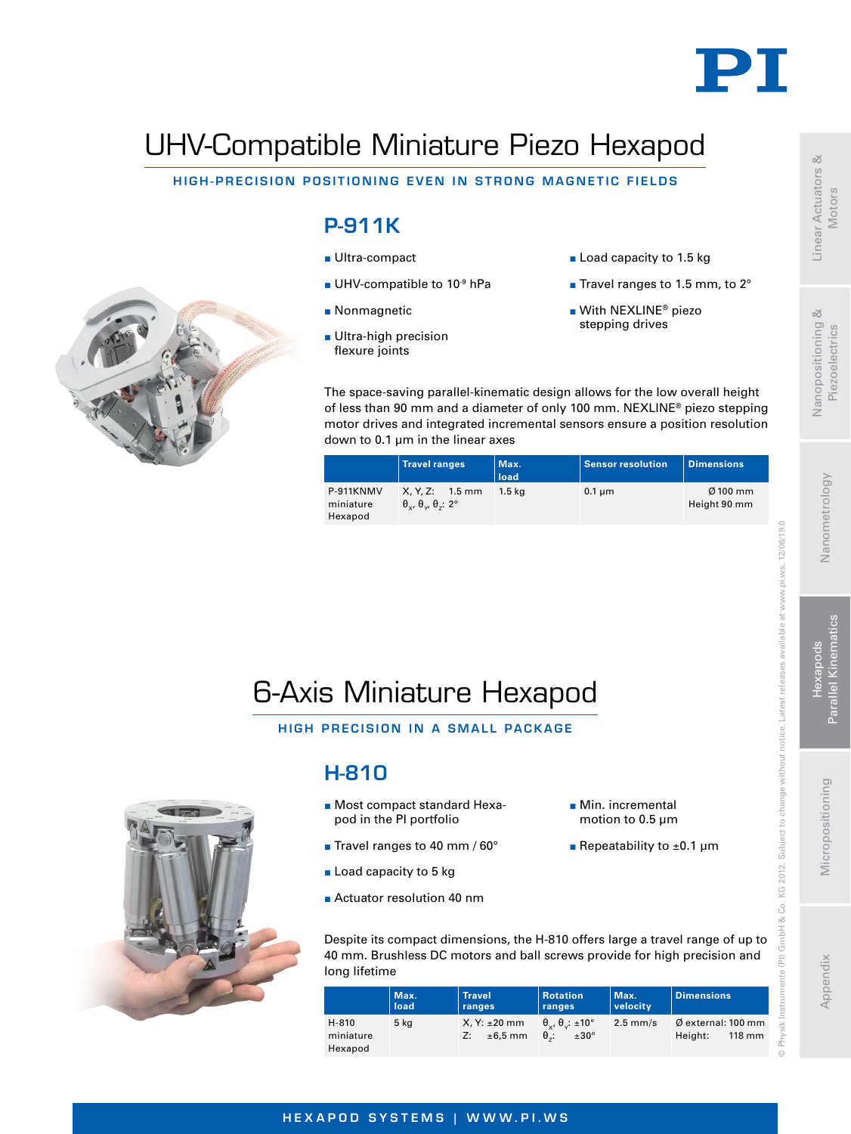

# UHV-Compatible Miniature Piezo Hexapod

#### HIGH-PRECISION POSITIONING EVEN IN STRONG MAGNETIC FIELDS

## P-911K

- Ultra-compact
- UHV-compatible to  $10^{-9}$  hPa
- **Nonmagnetic**
- **Ultra-high precision** flexure joints
- Load capacity to 1.5 kg
- Travel ranges to 1.5 mm, to 2°
- With NEXLINE<sup>®</sup> piezo stepping drives

The space-saving parallel-kinematic design allows for the low overall height of less than 90 mm and a diameter of only 100 mm. NEXLINE® piezo stepping motor drives and integrated incremental sensors ensure a position resolution down to 0.1 um in the linear axes

|                                   | <b>Travel ranges</b>                                                             | Max.<br>load | <b>Sensor resolution</b> | <b>Dimensions</b>          |
|-----------------------------------|----------------------------------------------------------------------------------|--------------|--------------------------|----------------------------|
| P-911KNMV<br>miniature<br>Hexapod | $X. Y. Z: 1.5$ mm<br>$\theta_{\rm v}$ , $\theta_{\rm v}$ , $\theta_{\rm z}$ : 2° | 1.5 ka       | $0.1 \mu m$              | $Ø$ 100 mm<br>Height 90 mm |



HIGH PRECISION IN A SMALL PACKAGE



### H-810

- Most compact standard Hexapod in the PI portfolio
- Travel ranges to 40 mm / 60°
- Load capacity to 5 kg
- **Actuator resolution 40 nm**
- **Min.** incremental motion to 0.5 µm
- Repeatability to  $\pm 0.1$  µm

Despite its compact dimensions, the H-810 offers large a travel range of up to 40 mm. Brushless DC motors and ball screws provide for high precision and long lifetime

|                               | Max.<br>load | <b>Travel</b><br>ranges              | <b>Rotation</b><br>ranges                                              | Max.<br><i>velocity</i> | <b>Dimensions</b>                                           |
|-------------------------------|--------------|--------------------------------------|------------------------------------------------------------------------|-------------------------|-------------------------------------------------------------|
| H-810<br>miniature<br>Hexapod | 5 kg         | $X, Y: \pm 20$ mm<br>$±6,5$ mm<br>Z: | $\theta_{\nu}$ , $\theta_{\nu}$ : ±10°<br>$\theta$ .:<br>$±30^{\circ}$ | $2.5$ mm/s              | $\emptyset$ external: 100 mm<br>$118 \text{ mm}$<br>Height: |



Linear Actuators & Motors

 $\infty$ 

Nanopositioning Piezoelectrics

© Physik Instrumente (PI) GmbH & Co. KG 2012. Subject to change without notice. Latest releases available at www.pi.ws. 12/06/19.0

KG 2012. Subject to change without notice.

& Co. GmbH  $\widehat{\Xi}$ 

 $12/06/19.0$ 

at www.pi.ws.

Latest releases available

#### HEXAPOD SYSTEMS | WWW.PI.WS